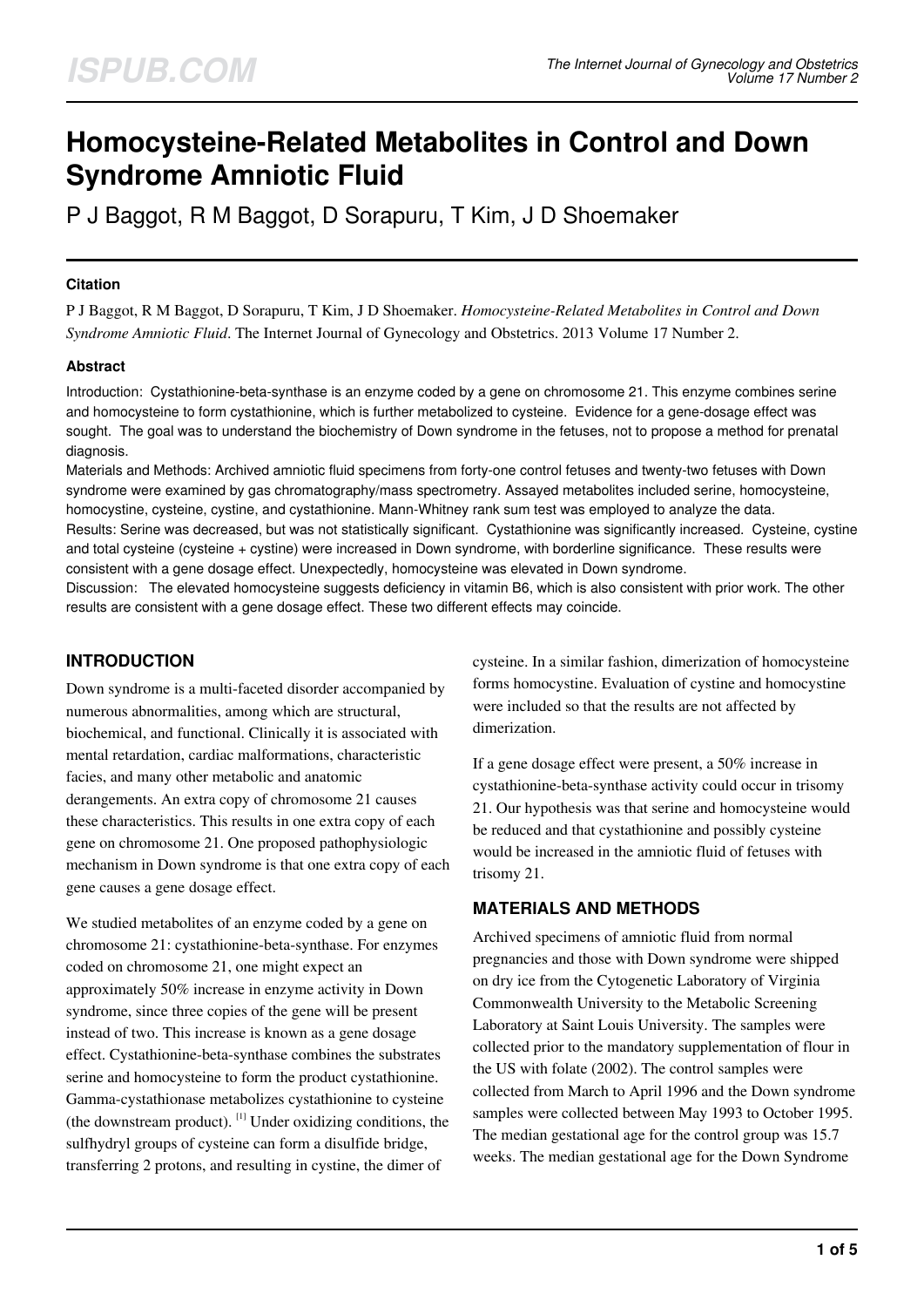# **Homocysteine-Related Metabolites in Control and Down Syndrome Amniotic Fluid**

P J Baggot, R M Baggot, D Sorapuru, T Kim, J D Shoemaker

#### **Citation**

P J Baggot, R M Baggot, D Sorapuru, T Kim, J D Shoemaker. *Homocysteine-Related Metabolites in Control and Down Syndrome Amniotic Fluid*. The Internet Journal of Gynecology and Obstetrics. 2013 Volume 17 Number 2.

#### **Abstract**

Introduction: Cystathionine-beta-synthase is an enzyme coded by a gene on chromosome 21. This enzyme combines serine and homocysteine to form cystathionine, which is further metabolized to cysteine. Evidence for a gene-dosage effect was sought. The goal was to understand the biochemistry of Down syndrome in the fetuses, not to propose a method for prenatal diagnosis.

Materials and Methods: Archived amniotic fluid specimens from forty-one control fetuses and twenty-two fetuses with Down syndrome were examined by gas chromatography/mass spectrometry. Assayed metabolites included serine, homocysteine, homocystine, cysteine, cystine, and cystathionine. Mann-Whitney rank sum test was employed to analyze the data. Results: Serine was decreased, but was not statistically significant. Cystathionine was significantly increased. Cysteine, cystine and total cysteine (cysteine + cystine) were increased in Down syndrome, with borderline significance. These results were consistent with a gene dosage effect. Unexpectedly, homocysteine was elevated in Down syndrome.

Discussion: The elevated homocysteine suggests deficiency in vitamin B6, which is also consistent with prior work. The other results are consistent with a gene dosage effect. These two different effects may coincide.

# **INTRODUCTION**

Down syndrome is a multi-faceted disorder accompanied by numerous abnormalities, among which are structural, biochemical, and functional. Clinically it is associated with mental retardation, cardiac malformations, characteristic facies, and many other metabolic and anatomic derangements. An extra copy of chromosome 21 causes these characteristics. This results in one extra copy of each gene on chromosome 21. One proposed pathophysiologic mechanism in Down syndrome is that one extra copy of each gene causes a gene dosage effect.

We studied metabolites of an enzyme coded by a gene on chromosome 21: cystathionine-beta-synthase. For enzymes coded on chromosome 21, one might expect an approximately 50% increase in enzyme activity in Down syndrome, since three copies of the gene will be present instead of two. This increase is known as a gene dosage effect. Cystathionine-beta-synthase combines the substrates serine and homocysteine to form the product cystathionine. Gamma-cystathionase metabolizes cystathionine to cysteine (the downstream product).  $\left[1\right]$  Under oxidizing conditions, the sulfhydryl groups of cysteine can form a disulfide bridge, transferring 2 protons, and resulting in cystine, the dimer of

cysteine. In a similar fashion, dimerization of homocysteine forms homocystine. Evaluation of cystine and homocystine were included so that the results are not affected by dimerization.

If a gene dosage effect were present, a 50% increase in cystathionine-beta-synthase activity could occur in trisomy 21. Our hypothesis was that serine and homocysteine would be reduced and that cystathionine and possibly cysteine would be increased in the amniotic fluid of fetuses with trisomy 21.

## **MATERIALS AND METHODS**

Archived specimens of amniotic fluid from normal pregnancies and those with Down syndrome were shipped on dry ice from the Cytogenetic Laboratory of Virginia Commonwealth University to the Metabolic Screening Laboratory at Saint Louis University. The samples were collected prior to the mandatory supplementation of flour in the US with folate (2002). The control samples were collected from March to April 1996 and the Down syndrome samples were collected between May 1993 to October 1995. The median gestational age for the control group was 15.7 weeks. The median gestational age for the Down Syndrome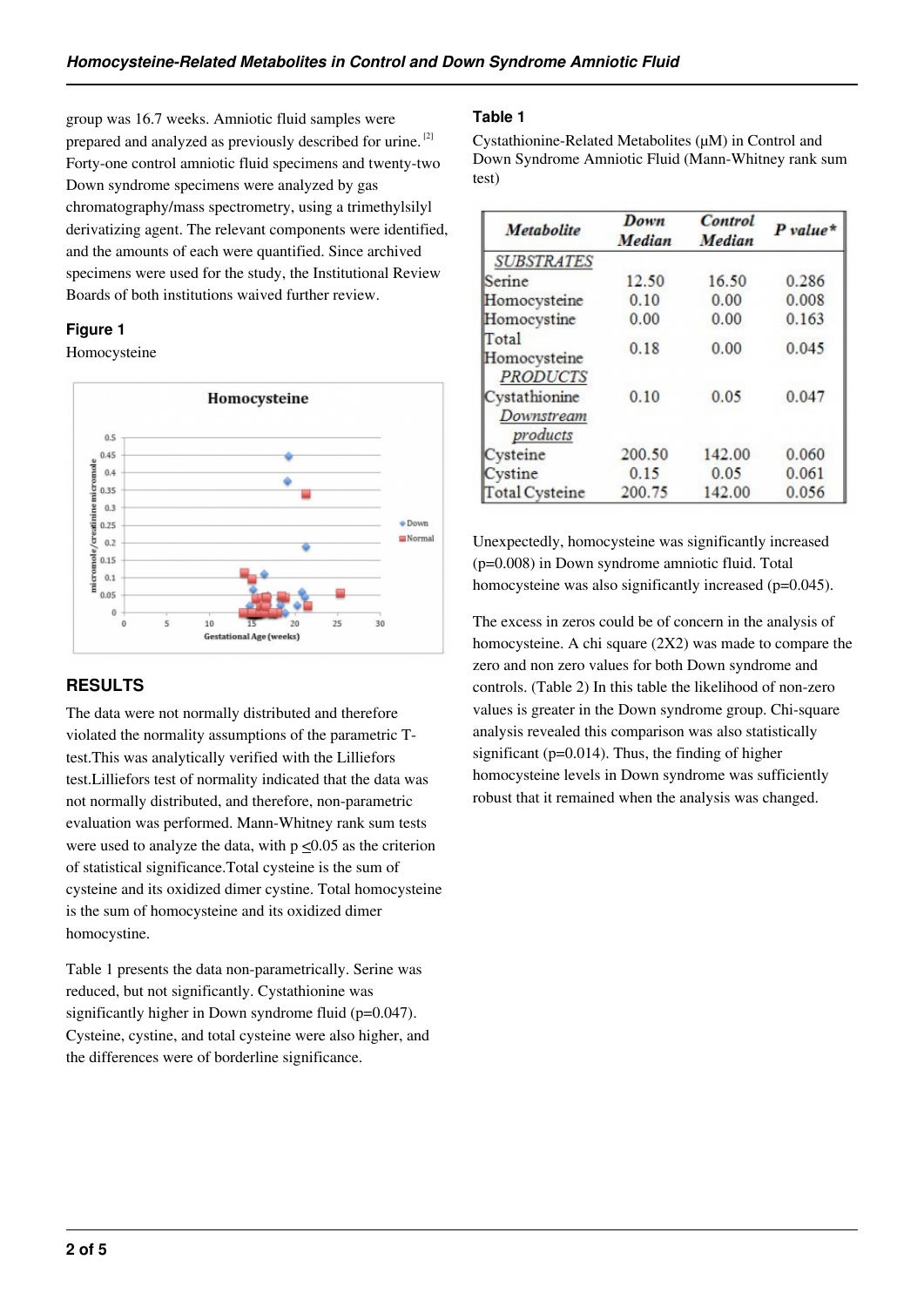group was 16.7 weeks. Amniotic fluid samples were prepared and analyzed as previously described for urine.<sup>[2]</sup> Forty-one control amniotic fluid specimens and twenty-two Down syndrome specimens were analyzed by gas chromatography/mass spectrometry, using a trimethylsilyl derivatizing agent. The relevant components were identified, and the amounts of each were quantified. Since archived specimens were used for the study, the Institutional Review Boards of both institutions waived further review.

## **Figure 1**

Homocysteine



# **RESULTS**

The data were not normally distributed and therefore violated the normality assumptions of the parametric Ttest.This was analytically verified with the Lilliefors test.Lilliefors test of normality indicated that the data was not normally distributed, and therefore, non-parametric evaluation was performed. Mann-Whitney rank sum tests were used to analyze the data, with  $p \le 0.05$  as the criterion of statistical significance.Total cysteine is the sum of cysteine and its oxidized dimer cystine. Total homocysteine is the sum of homocysteine and its oxidized dimer homocystine.

Table 1 presents the data non-parametrically. Serine was reduced, but not significantly. Cystathionine was significantly higher in Down syndrome fluid (p=0.047). Cysteine, cystine, and total cysteine were also higher, and the differences were of borderline significance.

# **Table 1**

Cystathionine-Related Metabolites (µM) in Control and Down Syndrome Amniotic Fluid (Mann-Whitney rank sum test)

| Metabolite                               | Down<br>Median | Control<br>Median | $P$ value* |
|------------------------------------------|----------------|-------------------|------------|
| <b>SUBSTRATES</b>                        |                |                   |            |
| Serine                                   | 12.50          | 16.50             | 0.286      |
| Homocysteine                             | 0.10           | 0.00              | 0.008      |
| Homocystine                              | 0.00           | 0.00              | 0.163      |
| Total<br>Homocysteine<br><b>PRODUCTS</b> | 0.18           | 0.00              | 0.045      |
| Cystathionine<br>Downstream<br>products  | 0.10           | 0.05              | 0.047      |
| Cysteine                                 | 200.50         | 142.00            | 0.060      |
| Cystine                                  | 0.15           | 0.05              | 0.061      |
| <b>Total Cysteine</b>                    | 200.75         | 142.00            | 0.056      |

Unexpectedly, homocysteine was significantly increased (p=0.008) in Down syndrome amniotic fluid. Total homocysteine was also significantly increased (p=0.045).

The excess in zeros could be of concern in the analysis of homocysteine. A chi square (2X2) was made to compare the zero and non zero values for both Down syndrome and controls. (Table 2) In this table the likelihood of non-zero values is greater in the Down syndrome group. Chi-square analysis revealed this comparison was also statistically significant (p=0.014). Thus, the finding of higher homocysteine levels in Down syndrome was sufficiently robust that it remained when the analysis was changed.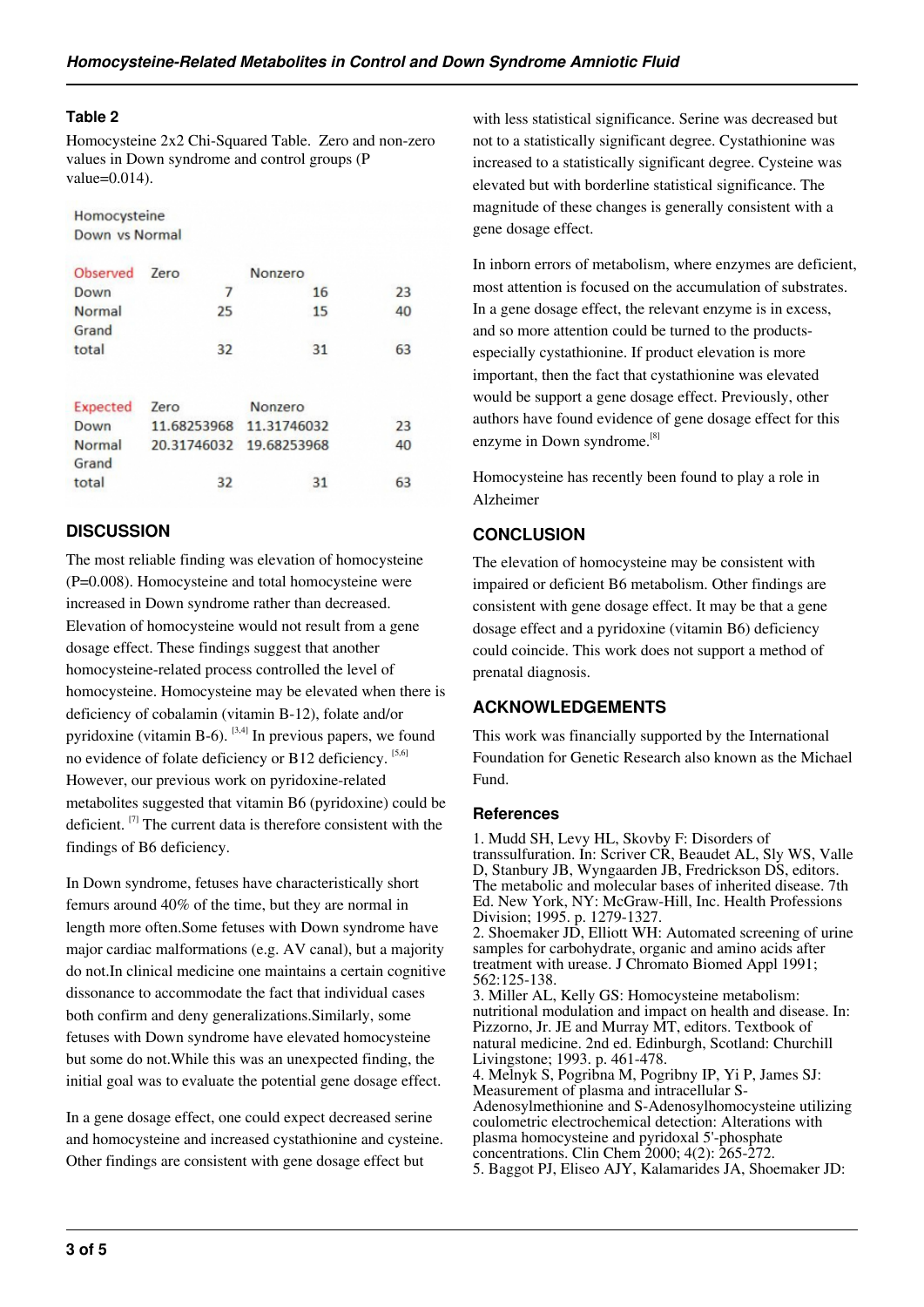#### **Table 2**

Homocysteine 2x2 Chi-Squared Table. Zero and non-zero values in Down syndrome and control groups (P value=0.014).

Homocysteine Down vs Normal

| Observed        | <b>Zero</b><br>Nonzero |                         |    |
|-----------------|------------------------|-------------------------|----|
| Down            | 7                      | 16                      | 23 |
| Normal<br>Grand | 25                     | 15                      | 40 |
| total           | 32                     | 31                      | 63 |
| Expected        | Zero                   | Nonzero                 |    |
| Down            |                        | 11.68253968 11.31746032 | 23 |
| Normal<br>Grand |                        | 20.31746032 19.68253968 | 40 |
| total           | 32                     | 31                      | 63 |

# **DISCUSSION**

The most reliable finding was elevation of homocysteine (P=0.008). Homocysteine and total homocysteine were increased in Down syndrome rather than decreased. Elevation of homocysteine would not result from a gene dosage effect. These findings suggest that another homocysteine-related process controlled the level of homocysteine. Homocysteine may be elevated when there is deficiency of cobalamin (vitamin B-12), folate and/or pyridoxine (vitamin B-6).  $[3,4]$  In previous papers, we found no evidence of folate deficiency or B12 deficiency.  $[5,6]$ However, our previous work on pyridoxine-related metabolites suggested that vitamin B6 (pyridoxine) could be deficient. [7] The current data is therefore consistent with the findings of B6 deficiency.

In Down syndrome, fetuses have characteristically short femurs around 40% of the time, but they are normal in length more often.Some fetuses with Down syndrome have major cardiac malformations (e.g. AV canal), but a majority do not.In clinical medicine one maintains a certain cognitive dissonance to accommodate the fact that individual cases both confirm and deny generalizations.Similarly, some fetuses with Down syndrome have elevated homocysteine but some do not.While this was an unexpected finding, the initial goal was to evaluate the potential gene dosage effect.

In a gene dosage effect, one could expect decreased serine and homocysteine and increased cystathionine and cysteine. Other findings are consistent with gene dosage effect but

with less statistical significance. Serine was decreased but not to a statistically significant degree. Cystathionine was increased to a statistically significant degree. Cysteine was elevated but with borderline statistical significance. The magnitude of these changes is generally consistent with a gene dosage effect.

In inborn errors of metabolism, where enzymes are deficient, most attention is focused on the accumulation of substrates. In a gene dosage effect, the relevant enzyme is in excess, and so more attention could be turned to the productsespecially cystathionine. If product elevation is more important, then the fact that cystathionine was elevated would be support a gene dosage effect. Previously, other authors have found evidence of gene dosage effect for this enzyme in Down syndrome.<sup>[8]</sup>

Homocysteine has recently been found to play a role in Alzheimer

# **CONCLUSION**

The elevation of homocysteine may be consistent with impaired or deficient B6 metabolism. Other findings are consistent with gene dosage effect. It may be that a gene dosage effect and a pyridoxine (vitamin B6) deficiency could coincide. This work does not support a method of prenatal diagnosis.

# **ACKNOWLEDGEMENTS**

This work was financially supported by the International Foundation for Genetic Research also known as the Michael Fund.

## **References**

1. Mudd SH, Levy HL, Skovby F: Disorders of transsulfuration. In: Scriver CR, Beaudet AL, Sly WS, Valle D, Stanbury JB, Wyngaarden JB, Fredrickson DS, editors. The metabolic and molecular bases of inherited disease. 7th Ed. New York, NY: McGraw-Hill, Inc. Health Professions Division; 1995. p. 1279-1327. 2. Shoemaker JD, Elliott WH: Automated screening of urine samples for carbohydrate, organic and amino acids after treatment with urease. J Chromato Biomed Appl 1991; 562:125-138. 3. Miller AL, Kelly GS: Homocysteine metabolism: nutritional modulation and impact on health and disease. In: Pizzorno, Jr. JE and Murray MT, editors. Textbook of natural medicine. 2nd ed. Edinburgh, Scotland: Churchill Livingstone; 1993. p. 461-478. 4. Melnyk S, Pogribna M, Pogribny IP, Yi P, James SJ: Measurement of plasma and intracellular S-Adenosylmethionine and S-Adenosylhomocysteine utilizing coulometric electrochemical detection: Alterations with plasma homocysteine and pyridoxal 5'-phosphate

concentrations. Clin Chem 2000; 4(2): 265-272. 5. Baggot PJ, Eliseo AJY, Kalamarides JA, Shoemaker JD: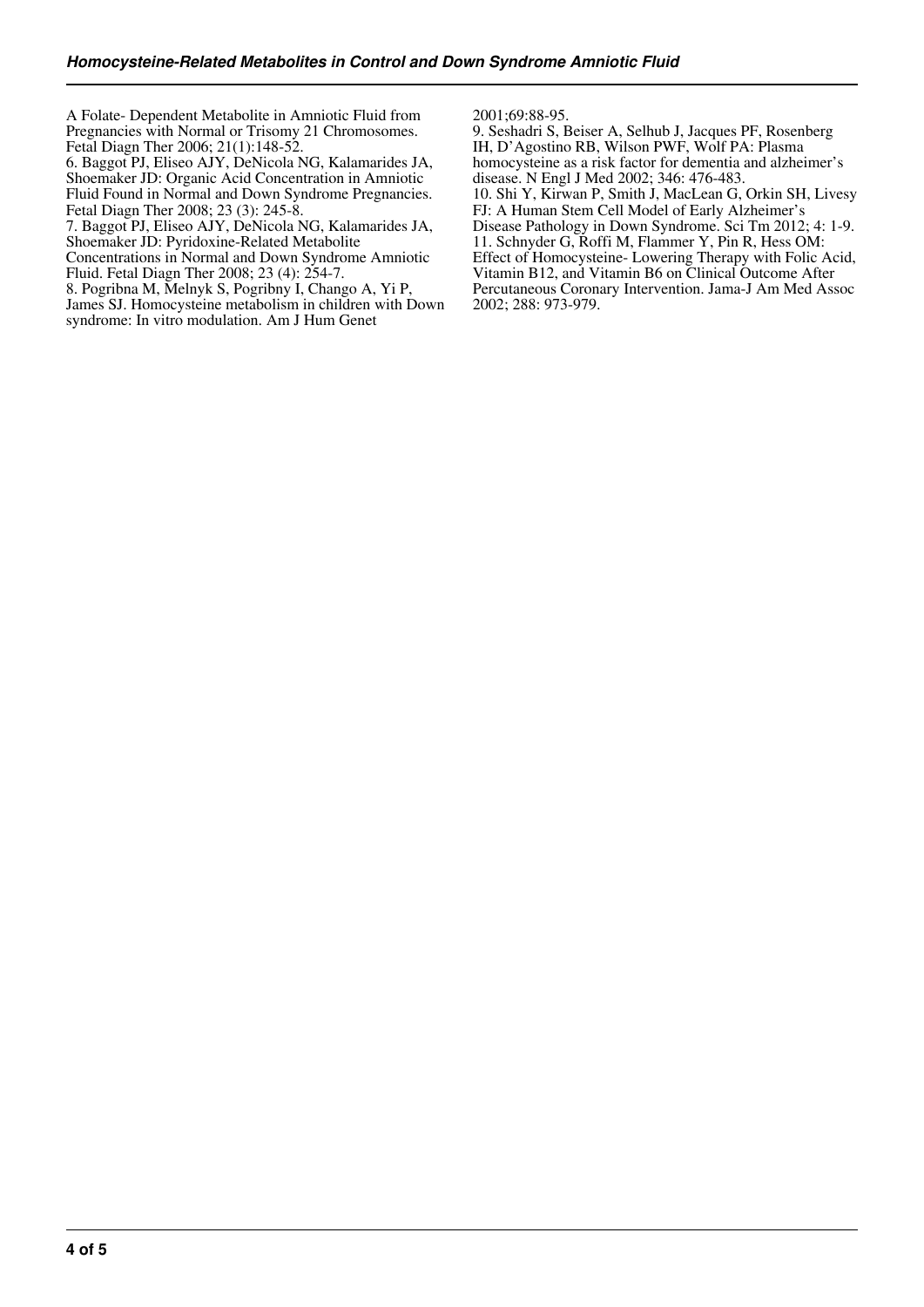A Folate- Dependent Metabolite in Amniotic Fluid from Pregnancies with Normal or Trisomy 21 Chromosomes. Fetal Diagn Ther 2006; 21(1):148-52.

6. Baggot PJ, Eliseo AJY, DeNicola NG, Kalamarides JA, Shoemaker JD: Organic Acid Concentration in Amniotic Fluid Found in Normal and Down Syndrome Pregnancies. Fetal Diagn Ther 2008; 23 (3): 245-8.

7. Baggot PJ, Eliseo AJY, DeNicola NG, Kalamarides JA, Shoemaker JD: Pyridoxine-Related Metabolite

Concentrations in Normal and Down Syndrome Amniotic Fluid. Fetal Diagn Ther 2008; 23 (4): 254-7.

8. Pogribna M, Melnyk S, Pogribny I, Chango A, Yi P,

James SJ. Homocysteine metabolism in children with Down syndrome: In vitro modulation. Am J Hum Genet

2001;69:88-95.

9. Seshadri S, Beiser A, Selhub J, Jacques PF, Rosenberg IH, D'Agostino RB, Wilson PWF, Wolf PA: Plasma homocysteine as a risk factor for dementia and alzheimer's disease. N Engl J Med 2002; 346: 476-483. 10. Shi Y, Kirwan P, Smith J, MacLean G, Orkin SH, Livesy FJ: A Human Stem Cell Model of Early Alzheimer's Disease Pathology in Down Syndrome. Sci Tm 2012; 4: 1-9. 11. Schnyder G, Roffi M, Flammer Y, Pin R, Hess OM: Effect of Homocysteine- Lowering Therapy with Folic Acid, Vitamin B12, and Vitamin B6 on Clinical Outcome After Percutaneous Coronary Intervention. Jama-J Am Med Assoc 2002; 288: 973-979.